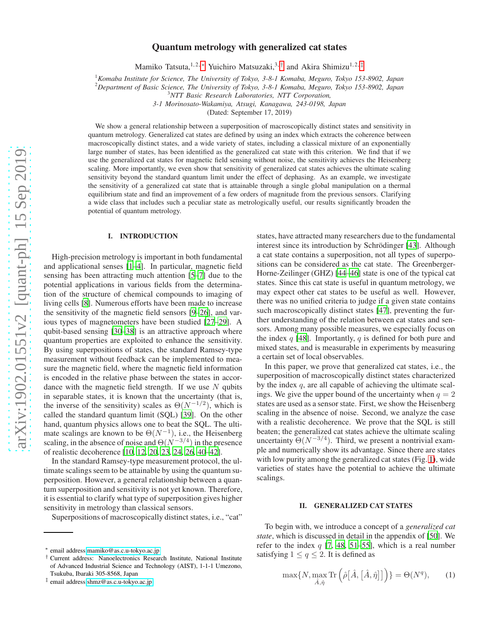# Quantum metrology with generalized cat states

Mamiko Tatsuta,<sup>1,2,[∗](#page-0-0)</sup> Yuichiro Matsuzaki,<sup>3,[†](#page-0-1)</sup> and Akira Shimizu<sup>1,2,[‡](#page-0-2)</sup>

<sup>1</sup>*Komaba Institute for Science, The University of Tokyo, 3-8-1 Komaba, Meguro, Tokyo 153-8902, Japan*

<sup>2</sup>*Department of Basic Science, The University of Tokyo, 3-8-1 Komaba, Meguro, Tokyo 153-8902, Japan*

*3-1 Morinosato-Wakamiya, Atsugi, Kanagawa, 243-0198, Japan*

(Dated: September 17, 2019)

We show a general relationship between a superposition of macroscopically distinct states and sensitivity in quantum metrology. Generalized cat states are defined by using an index which extracts the coherence between macroscopically distinct states, and a wide variety of states, including a classical mixture of an exponentially large number of states, has been identified as the generalized cat state with this criterion. We find that if we use the generalized cat states for magnetic field sensing without noise, the sensitivity achieves the Heisenberg scaling. More importantly, we even show that sensitivity of generalized cat states achieves the ultimate scaling sensitivity beyond the standard quantum limit under the effect of dephasing. As an example, we investigate the sensitivity of a generalized cat state that is attainable through a single global manipulation on a thermal equilibrium state and find an improvement of a few orders of magnitude from the previous sensors. Clarifying a wide class that includes such a peculiar state as metrologically useful, our results significantly broaden the potential of quantum metrology.

## I. INTRODUCTION

High-precision metrology is important in both fundamental and applicational senses [\[1](#page-9-0)[–4\]](#page-9-1). In particular, magnetic field sensing has been attracting much attention [\[5](#page-9-2)[–7\]](#page-9-3) due to the potential applications in various fields from the determination of the structure of chemical compounds to imaging of living cells [\[8\]](#page-9-4). Numerous efforts have been made to increase the sensitivity of the magnetic field sensors [\[9](#page-9-5)[–26\]](#page-10-0), and various types of magnetometers have been studied [\[27](#page-10-1)[–29\]](#page-10-2). A qubit-based sensing [\[30](#page-10-3)[–38](#page-10-4)] is an attractive approach where quantum properties are exploited to enhance the sensitivity. By using superpositions of states, the standard Ramsey-type measurement without feedback can be implemented to measure the magnetic field, where the magnetic field information is encoded in the relative phase between the states in accordance with the magnetic field strength. If we use  $N$  qubits in separable states, it is known that the uncertainty (that is, the inverse of the sensitivity) scales as  $\Theta(N^{-1/2})$ , which is called the standard quantum limit (SQL) [\[39](#page-10-5)]. On the other hand, quantum physics allows one to beat the SQL. The ultimate scalings are known to be  $\Theta(N^{-1})$ , i.e., the Heisenberg scaling, in the absence of noise and  $\Theta(N^{-3/4})$  in the presence of realistic decoherence [\[10,](#page-9-6) [12](#page-9-7), [20](#page-9-8), [23](#page-9-9), [24](#page-10-6), [26](#page-10-0), [40](#page-10-7)[–42](#page-10-8)].

In the standard Ramsey-type measurement protocol, the ultimate scalings seem to be attainable by using the quantum superposition. However, a general relationship between a quantum superposition and sensitivity is not yet known. Therefore, it is essential to clarify what type of superposition gives higher sensitivity in metrology than classical sensors.

Superpositions of macroscopically distinct states, i.e., "cat"

states, have attracted many researchers due to the fundamental interest since its introduction by Schrödinger [\[43](#page-10-9)]. Although a cat state contains a superposition, not all types of superpositions can be considered as the cat state. The Greenberger-Horne-Zeilinger (GHZ) [\[44](#page-10-10)[–46](#page-10-11)] state is one of the typical cat states. Since this cat state is useful in quantum metrology, we may expect other cat states to be useful as well. However, there was no unified criteria to judge if a given state contains such macroscopically distinct states [\[47\]](#page-10-12), preventing the further understanding of the relation between cat states and sensors. Among many possible measures, we especially focus on the index  $q$  [\[48\]](#page-10-13). Importantly,  $q$  is defined for both pure and mixed states, and is measurable in experiments by measuring a certain set of local observables.

In this paper, we prove that generalized cat states, i.e., the superposition of macroscopically distinct states characterized by the index  $q$ , are all capable of achieving the ultimate scalings. We give the upper bound of the uncertainty when  $q = 2$ states are used as a sensor state. First, we show the Heisenberg scaling in the absence of noise. Second, we analyze the case with a realistic decoherence. We prove that the SQL is still beaten; the generalized cat states achieve the ultimate scaling uncertainty  $\Theta(N^{-3/4})$ . Third, we present a nontrivial example and numerically show its advantage. Since there are states with low purity among the generalized cat states (Fig. [1\)](#page-1-0), wide varieties of states have the potential to achieve the ultimate scalings.

### II. GENERALIZED CAT STATES

To begin with, we introduce a concept of a *generalized cat state*, which is discussed in detail in the appendix of [\[50](#page-10-14)]. We refer to the index  $q$  [\[7](#page-9-3), [48,](#page-10-13) [51](#page-10-15)[–55\]](#page-10-16), which is a real number satisfying  $1 \le q \le 2$ . It is defined as

$$
\max\{N, \max_{\hat{A}, \hat{\eta}} \text{Tr}\left(\hat{\rho}[\hat{A}, [\hat{A}, \hat{\eta}]]\right)\} = \Theta(N^q),\tag{1}
$$

<sup>3</sup>*NTT Basic Research Laboratories, NTT Corporation,*

<span id="page-0-0"></span><sup>∗</sup> email address[:mamiko@as.c.u-tokyo.ac.jp](mailto:mamiko@as.c.u-tokyo.ac.jp)

<span id="page-0-1"></span><sup>†</sup> Current address: Nanoelectronics Research Institute, National Institute of Advanced Industrial Science and Technology (AIST), 1-1-1 Umezono, Tsukuba, Ibaraki 305-8568, Japan

<span id="page-0-2"></span><sup>‡</sup> email address[:shmz@as.c.u-tokyo.ac.jp](mailto:shmz@as.c.u-tokyo.ac.jp)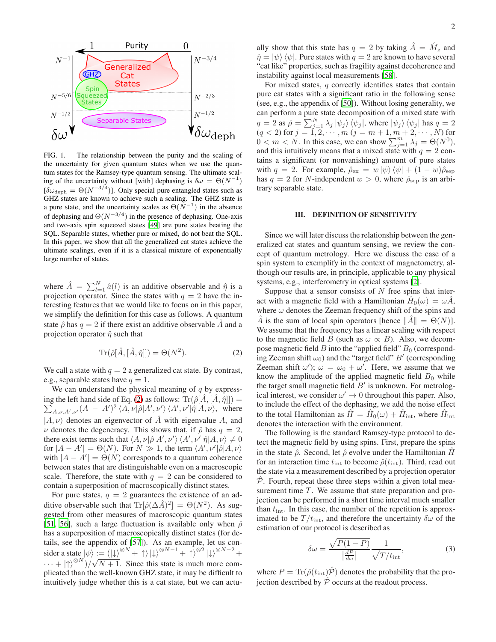

<span id="page-1-0"></span>FIG. 1. The relationship between the purity and the scaling of the uncertainty for given quantum states when we use the quantum states for the Ramsey-type quantum sensing. The ultimate scaling of the uncertainty without [with] dephasing is  $\delta \omega = \Theta(N^{-1})$  $[\delta\omega_{\rm deph} = \Theta(N^{-3/4})]$ . Only special pure entangled states such as GHZ states are known to achieve such a scaling. The GHZ state is a pure state, and the uncertainty scales as  $\Theta(N^{-1})$  in the absence of dephasing and  $\Theta(N^{-3/4})$  in the presence of dephasing. One-axis and two-axis spin squeezed states [\[49\]](#page-10-17) are pure states beating the SQL. Separable states, whether pure or mixed, do not beat the SQL. In this paper, we show that all the generalized cat states achieve the ultimate scalings, even if it is a classical mixture of exponentially large number of states.

where  $\hat{A} = \sum_{l=1}^{N} \hat{a}(l)$  is an additive observable and  $\hat{\eta}$  is a projection operator. Since the states with  $q = 2$  have the interesting features that we would like to focus on in this paper, we simplify the definition for this case as follows. A quantum state  $\hat{\rho}$  has  $q = 2$  if there exist an additive observable  $\hat{A}$  and a projection operator  $\hat{\eta}$  such that

$$
\operatorname{Tr}(\hat{\rho}[\hat{A},[\hat{A},\hat{\eta}]]) = \Theta(N^2). \tag{2}
$$

We call a state with  $q = 2$  a generalized cat state. By contrast, e.g., separable states have  $q = 1$ .

We can understand the physical meaning of  $q$  by express-ing the left hand side of Eq. [\(2\)](#page-1-1) as follows:  $\text{Tr}(\hat{\rho}[\hat{A}, [\hat{A}, \hat{\eta}]]) =$  $\sum_{A,\nu,A',\nu'} (A - A')^2 \langle A,\nu | \hat{\rho} | A',\nu' \rangle \langle A',\nu' | \hat{\eta} | A,\nu \rangle$ , where  $|A, \nu\rangle$  denotes an eigenvector of  $\hat{A}$  with eigenvalue A, and  $\nu$  denotes the degeneracy. This shows that, if  $\hat{\rho}$  has  $q = 2$ , there exist terms such that  $\langle A, \nu | \hat{\rho} | A', \nu' \rangle \langle A', \nu' | \hat{\eta} | A, \nu \rangle \neq 0$ for  $|A - A'| = \Theta(N)$ . For  $N \gg 1$ , the term  $\langle A', \nu' | \hat{\rho} | A, \nu \rangle$ with  $|A - A'| = \Theta(N)$  corresponds to a quantum coherence between states that are distinguishable even on a macroscopic scale. Therefore, the state with  $q = 2$  can be considered to contain a superposition of macroscopically distinct states.

For pure states,  $q = 2$  guarantees the existence of an additive observable such that  $\text{Tr}[\hat{\rho}(\Delta \hat{A})^2] = \Theta(N^2)$ . As suggested from other measures of macroscopic quantum states [\[51](#page-10-15), [56\]](#page-10-18), such a large fluctuation is available only when  $\hat{\rho}$ has a superposition of macroscopically distinct states (for details, see the appendix of [\[57\]](#page-10-19)). As an example, let us consider a state  $|\psi\rangle := (|\downarrow\rangle^{\otimes N} + |\uparrow\rangle |\downarrow\rangle^{\otimes N-1} + |\uparrow\rangle^{\otimes 2} |\downarrow\rangle^{\otimes N-2} +$  $\cdots$  + | $\uparrow$ <sup>\\\endots\sqrt\n\right]</sup> Since this state is much more complicated than the well-known GHZ state, it may be difficult to intuitively judge whether this is a cat state, but we can actu-

ally show that this state has  $q = 2$  by taking  $\hat{A} = \hat{M}_z$  and  $\hat{\eta} = |\psi\rangle \langle \psi|$ . Pure states with  $q = 2$  are known to have several "cat like" properties, such as fragility against decoherence and instability against local measurements [\[58\]](#page-10-20).

For mixed states,  $q$  correctly identifies states that contain pure cat states with a significant ratio in the following sense (see, e.g., the appendix of [\[50\]](#page-10-14)). Without losing generality, we can perform a pure state decomposition of a mixed state with  $q = 2$  as  $\hat{\rho} = \sum_{j=1}^{N} \lambda_j |\psi_j\rangle \langle \psi_j|$ , where  $|\psi_j\rangle \langle \psi_j|$  has  $q = 2$  $(q < 2)$  for  $j = 1, 2, \cdots, m$   $(j = m + 1, m + 2, \cdots, N)$  for  $0 < m < N$ . In this case, we can show  $\sum_{j=1}^{m} \lambda_j = \Theta(N^0)$ , and this intuitively means that a mixed state with  $q = 2$  contains a significant (or nonvanishing) amount of pure states with  $q = 2$ . For example,  $\hat{\rho}_{\text{ex}} = w \ket{\psi} \bra{\psi} + (1 - w) \hat{\rho}_{\text{sep}}$ has  $q = 2$  for N-independent  $w > 0$ , where  $\hat{\rho}_{\text{sep}}$  is an arbitrary separable state.

## III. DEFINITION OF SENSITIVITY

Since we will later discuss the relationship between the generalized cat states and quantum sensing, we review the concept of quantum metrology. Here we discuss the case of a spin system to exemplify in the context of magnetometry, although our results are, in principle, applicable to any physical systems, e.g., interferometry in optical systems [\[2](#page-9-10)].

<span id="page-1-1"></span>Suppose that a sensor consists of  $N$  free spins that interact with a magnetic field with a Hamiltonian  $\hat{H}_0(\omega) = \omega \hat{A}$ , where  $\omega$  denotes the Zeeman frequency shift of the spins and  $\hat{A}$  is the sum of local spin operators [hence  $\|\hat{A}\| = \Theta(N)$ ]. We assume that the frequency has a linear scaling with respect to the magnetic field B (such as  $\omega \propto B$ ). Also, we decompose magnetic field B into the "applied field"  $B_0$  (corresponding Zeeman shift  $\omega_0$ ) and the "target field"  $B'$  (corresponding Zeeman shift  $\omega'$ );  $\omega = \omega_0 + \omega'$ . Here, we assume that we know the amplitude of the applied magnetic field  $B_0$  while the target small magnetic field  $B'$  is unknown. For metrological interest, we consider  $\omega' \to 0$  throughout this paper. Also, to include the effect of the dephasing, we add the noise effect to the total Hamiltonian as  $\hat{H} = \hat{H}_0(\omega) + \hat{H}_{\text{int}}$ , where  $\hat{H}_{\text{int}}$ denotes the interaction with the environment.

The following is the standard Ramsey-type protocol to detect the magnetic field by using spins. First, prepare the spins in the state  $\hat{\rho}$ . Second, let  $\hat{\rho}$  evolve under the Hamiltonian  $\hat{H}$ for an interaction time  $t_{\text{int}}$  to become  $\hat{\rho}(t_{\text{int}})$ . Third, read out the state via a measurement described by a projection operator  $\hat{\mathcal{P}}$ . Fourth, repeat these three steps within a given total measurement time  $T$ . We assume that state preparation and projection can be performed in a short time interval much smaller than  $t_{\text{int}}$ . In this case, the number of the repetition is approximated to be  $T/t_{\text{int}}$ , and therefore the uncertainty  $\delta \omega$  of the estimation of our protocol is described as

<span id="page-1-2"></span>
$$
\delta\omega = \frac{\sqrt{P(1-P)}}{\left|\frac{dP}{d\omega}\right|} \frac{1}{\sqrt{T/t_{\text{int}}}},\tag{3}
$$

where  $P = \text{Tr}(\hat{\rho}(t_{\text{int}}))\hat{P}$  denotes the probability that the projection described by  $\hat{P}$  occurs at the readout process.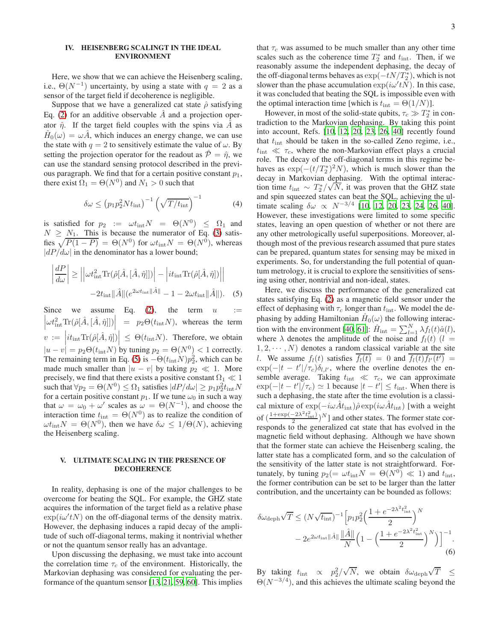## IV. HEISENBERG SCALINGT IN THE IDEAL ENVIRONMENT

Here, we show that we can achieve the Heisenberg scaling, i.e.,  $\Theta(N^{-1})$  uncertainty, by using a state with  $q = 2$  as a sensor of the target field if decoherence is negligible.

Suppose that we have a generalized cat state  $\hat{\rho}$  satisfying Eq. [\(2\)](#page-1-1) for an additive observable  $\hat{A}$  and a projection operator  $\hat{\eta}$ . If the target field couples with the spins via  $\hat{A}$  as  $\hat{H}_0(\omega) = \omega \hat{A}$ , which induces an energy change, we can use the state with  $q = 2$  to sensitively estimate the value of  $\omega$ . By setting the projection operator for the readout as  $\hat{\mathcal{P}} = \hat{\eta}$ , we can use the standard sensing protocol described in the previous paragraph. We find that for a certain positive constant  $p_1$ , there exist  $\Omega_1 = \Theta(N^0)$  and  $N_1 > 0$  such that

$$
\delta\omega \le (p_1 p_2^2 N t_{\rm int})^{-1} \left(\sqrt{T/t_{\rm int}}\right)^{-1} \tag{4}
$$

is satisfied for  $p_2 := \omega t_{\rm int} N = \Theta(N^0) \leq \Omega_1$  and  $N \geq N_1$ . This is because the numerator of Eq. [\(3\)](#page-1-2) satisfies  $\sqrt{P(1-P)} = \Theta(N^0)$  for  $\omega t_{\rm int}N = \Theta(N^0)$ , whereas  $|dP/d\omega|$  in the denominator has a lower bound;

$$
\left| \frac{dP}{d\omega} \right| \ge \left| \left| \omega t_{\text{int}}^2 \text{Tr}(\hat{\rho}[\hat{A}, [\hat{A}, \hat{\eta}])] \right| - \left| i t_{\text{int}} \text{Tr}(\hat{\rho}[\hat{A}, \hat{\eta}]) \right| \right|
$$

$$
- 2 t_{\text{int}} ||\hat{A}|| (e^{2\omega t_{\text{int}} ||\hat{A}||} - 1 - 2\omega t_{\text{int}} ||\hat{A}||). \quad (5)
$$

Since we assume Eq.  $(2)$ ,  $\left|\omega t_{\text{int}}^2 \text{Tr}(\hat{\rho}[\hat{A},[\hat{A},\hat{\eta}]])\right| = p_2 \Theta(t_{\text{int}}N)$ , whereas the term the term  $u :=$  $v := \left| i t_{\text{int}} \text{Tr}(\hat{\rho}[\hat{A}, \hat{\eta}]) \right| \leq \Theta(t_{\text{int}} N)$ . Therefore, we obtain  $|u - v| = p_2 \Theta(t_{\text{int}} N)$  by tuning  $p_2 = \Theta(N^0) < 1$  correctly. The remaining term in Eq. [\(5\)](#page-2-0) is  $-\Theta(t_{\text{int}}N)p_2^2$ , which can be made much smaller than  $|u - v|$  by taking  $p_2 \ll 1$ . More precisely, we find that there exists a positive constant  $\Omega_1 \ll 1$ such that  $\forall p_2 = \Theta(N^0) \leq \Omega_1$  satisfies  $|dP/d\omega| \geq p_1 p_2^2 t_{\rm int} N$ for a certain positive constant  $p_1$ . If we tune  $\omega_0$  in such a way that  $\omega = \omega_0 + \omega'$  scales as  $\omega = \Theta(N^{-1})$ , and choose the interaction time  $t_{\text{int}} = \Theta(N^0)$  as to realize the condition of  $\omega t_{\text{int}}N = \Theta(N^0)$ , then we have  $\delta \omega \leq 1/\Theta(N)$ , achieving the Heisenberg scaling.

## V. ULTIMATE SCALING IN THE PRESENCE OF DECOHERENCE

In reality, dephasing is one of the major challenges to be overcome for beating the SQL. For example, the GHZ state acquires the information of the target field as a relative phase  $\exp(i\omega' tN)$  on the off-diagonal terms of the density matrix. However, the dephasing induces a rapid decay of the amplitude of such off-diagonal terms, making it nontrivial whether or not the quantum sensor really has an advantage.

Upon discussing the dephasing, we must take into account the correlation time  $\tau_c$  of the environment. Historically, the Markovian dephasing was considered for evaluating the performance of the quantum sensor [\[13,](#page-9-11) [21,](#page-9-12) [59](#page-10-21), [60\]](#page-10-22). This implies

that  $\tau_c$  was assumed to be much smaller than any other time scales such as the coherence time  $T_2^*$  and  $t_{\text{int}}$ . Then, if we reasonably assume the independent dephasing, the decay of the off-diagonal terms behaves as  $\exp(-tN/T_2^*)$ , which is not slower than the phase accumulation  $exp(i\omega' tN)$ . In this case, it was concluded that beating the SQL is impossible even with the optimal interaction time [which is  $t_{\text{int}} = \Theta(1/N)$ ].

However, in most of the solid-state qubits,  $\tau_c \gg T_2^*$  in contradiction to the Markovian dephasing. By taking this point into account, Refs. [\[10,](#page-9-6) [12](#page-9-7), [20,](#page-9-8) [23](#page-9-9), [26,](#page-10-0) [40](#page-10-7)] recently found that  $t_{\text{int}}$  should be taken in the so-called Zeno regime, i.e.,  $t_{\text{int}} \ll \tau_c$ , where the non-Markovian effect plays a crucial role. The decay of the off-diagonal terms in this regime behaves as  $\exp(-(t/T_2^*)^2 N)$ , which is much slower than the decay in Markovian dephasing. With the optimal interaction time  $t_{int} \sim T_2^*/\sqrt{N}$ , it was proven that the GHZ state and spin squeezed states can beat the SQL, achieving the ultimate scaling  $\delta \omega \propto N^{-3/4}$  [\[10,](#page-9-6) [12,](#page-9-7) [20](#page-9-8), [23,](#page-9-9) [24,](#page-10-6) [26,](#page-10-0) [40](#page-10-7)]. However, these investigations were limited to some specific states, leaving an open question of whether or not there are any other metrologically useful superpositions. Moreover, although most of the previous research assumed that pure states can be prepared, quantum states for sensing may be mixed in experiments. So, for understanding the full potential of quantum metrology, it is crucial to explore the sensitivities of sensing using other, nontrivial and non-ideal, states.

<span id="page-2-0"></span>Here, we discuss the performance of the generalized cat states satisfying Eq. [\(2\)](#page-1-1) as a magnetic field sensor under the effect of dephasing with  $\tau_c$  longer than  $t_{\text{int}}$ . We model the dephasing by adding Hamiltonian  $\hat{H}_0(\omega)$  the following interac-tion with the environment [\[40](#page-10-7), [61](#page-10-23)]:  $\hat{H}_{int} = \sum_{l=1}^{N} \lambda f_l(t) \hat{a}(l)$ , where  $\lambda$  denotes the amplitude of the noise and  $f_l(t)$  (l =  $1, 2, \dots, N$  denotes a random classical variable at the site l. We assume  $f_l(t)$  satisfies  $f_l(t) = 0$  and  $f_l(t) f_{l'}(t') =$  $\exp(-|t - t'|/\tau_c)\delta_{l,l'}$ , where the overline denotes the ensemble average. Taking  $t_{\text{int}} \ll \tau_c$ , we can approximate  $\exp(-|t - t'|/\tau_c) \simeq 1$  because  $|t - t'| \le t_{\text{int}}$ . When there is such a dephasing, the state after the time evolution is a classical mixture of  $\exp(-i\omega \hat{A}t_{\rm int})\hat{\rho} \exp(i\omega \hat{A}t_{\rm int})$  [with a weight of  $\left(\frac{1+\exp(-2\lambda^2 t_{\rm int}^2)}{2}\right)^N$ ] and other states. The former state corresponds to the generalized cat state that has evolved in the magnetic field without dephasing. Although we have shown that the former state can achieve the Heisenberg scaling, the latter state has a complicated form, and so the calculation of the sensitivity of the latter state is not straightforward. Fortunately, by tuning  $p_2 (= \omega t_{\text{int}}N = \Theta(N^0) \ll 1)$  and  $t_{\text{int}}$ , the former contribution can be set to be larger than the latter contribution, and the uncertainty can be bounded as follows:

$$
\delta\omega_{\text{deph}}\sqrt{T} \le (N\sqrt{t_{\text{int}}})^{-1} \left[ p_1 p_2^2 \left( \frac{1 + e^{-2\lambda^2 t_{\text{int}}^2}}{2} \right)^N - 2e^{2\omega t_{\text{int}} \|\hat{A}\|} \left( 1 - \left( \frac{1 + e^{-2\lambda^2 t_{\text{int}}^2}}{2} \right)^N \right) \right]^{-1}.
$$
\n(6)

<span id="page-2-1"></span>By taking  $t_{\text{int}} \propto p_2^2/\sqrt{N}$ , we obtain  $\delta \omega_{\text{deph}} \sqrt{N}$  $\leq$  $\Theta(N^{-3/4})$ , and this achieves the ultimate scaling beyond the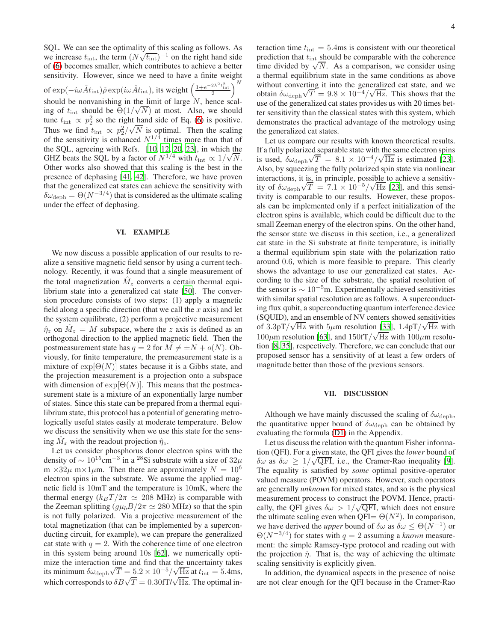4

SQL. We can see the optimality of this scaling as follows. As we increase  $t_{\text{int}}$ , the term  $(N\sqrt{t_{\text{int}}})^{-1}$  on the right hand side of [\(6\)](#page-2-1) becomes smaller, which contributes to achieve a better sensitivity. However, since we need to have a finite weight of exp $(-i\omega \hat{A} t_{\rm int})\hat{\rho} \exp(i\omega \hat{A} t_{\rm int}),$  its weight  $\left(\frac{1+e^{-2\lambda^2t_{\rm int}^2}}{2}\right)^N$ should be nonvanishing in the limit of large N, hence scal-<br>ing of the should be  $\Theta(1/\sqrt{N})$  at most. Also, we should ing of  $t_{\text{int}}$  should be  $\Theta(1/\sqrt{N})$  at most. Also, we should tune  $t_{\text{int}} \propto p_2^2$  so the right hand side of Eq. [\(6\)](#page-2-1) is positive. Thus we find  $t_{\text{int}} \propto p_2^2/\sqrt{N}$  is optimal. Then the scaling of the sensitivity is enhanced  $N^{1/4}$  times more than that of the SQL, agreeing with Refs. [\[10,](#page-9-6) [12,](#page-9-7) [20](#page-9-8), [23\]](#page-9-9), in which the GHZ beats the SQL by a factor of  $N^{1/4}$  with  $t_{\text{int}} \propto 1/\sqrt{N}$ . Other works also showed that this scaling is the best in the presence of dephasing [\[41,](#page-10-24) [42](#page-10-8)]. Therefore, we have proven that the generalized cat states can achieve the sensitivity with  $\delta\omega_{\rm deph} = \Theta(N^{-3/4})$  that is considered as the ultimate scaling under the effect of dephasing.

#### VI. EXAMPLE

We now discuss a possible application of our results to realize a sensitive magnetic field sensor by using a current technology. Recently, it was found that a single measurement of the total magnetization  $\hat{M}_z$  converts a certain thermal equilibrium state into a generalized cat state [\[50](#page-10-14)]. The conversion procedure consists of two steps: (1) apply a magnetic field along a specific direction (that we call the  $x$  axis) and let the system equilibrate, (2) perform a projective measurement  $\hat{\eta}_z$  on  $\hat{M}_z = M$  subspace, where the z axis is defined as an orthogonal direction to the applied magnetic field. Then the postmeasurement state has  $q = 2$  for  $M \neq \pm N + o(N)$ . Obviously, for finite temperature, the premeasurement state is a mixture of  $exp[Θ(N)]$  states because it is a Gibbs state, and the projection measurement is a projection onto a subspace with dimension of  $exp[Θ(N)]$ . This means that the postmeasurement state is a mixture of an exponentially large number of states. Since this state can be prepared from a thermal equilibrium state, this protocol has a potential of generating metrologically useful states easily at moderate temperature. Below we discuss the sensitivity when we use this state for the sensing  $\hat{M}_x$  with the readout projection  $\hat{\eta}_z$ .

Let us consider phosphorus donor electron spins with the density of  $\sim 10^{15}$ cm<sup>-3</sup> in a <sup>28</sup>Si substrate with a size of 32 $\mu$ m  $\times 32\mu$  m $\times 1\mu$ m. Then there are approximately  $N = 10^6$ electron spins in the substrate. We assume the applied magnetic field is 10mT and the temperature is 10mK, where the thermal energy ( $k_BT/2\pi \simeq 208$  MHz) is comparable with the Zeeman splitting  $(q\mu_b B/2\pi \simeq 280 \text{ MHz})$  so that the spin is not fully polarized. Via a projective measurement of the total magnetization (that can be implemented by a superconducting circuit, for example), we can prepare the generalized cat state with  $q = 2$ . With the coherence time of one electron in this system being around 10s [\[62\]](#page-10-25), we numerically optimize the interaction time and find that the uncertainty takes its minimum  $\delta \omega_{\rm deph} \sqrt{T} = 5.2 \times 10^{-5} / \sqrt{\text{Hz}}$  at  $t_{\text{int}} = 5.4 \text{ms}$ , which corresponds to  $\delta B \sqrt{T} = 0.30$  for  $\sqrt{Hz}$ . The optimal interaction time  $t_{\text{int}} = 5.4 \text{ms}$  is consistent with our theoretical prediction that  $t_{\text{int}}$  should be comparable with the coherence time divided by  $\sqrt{N}$ . As a comparison, we consider using a thermal equilibrium state in the same conditions as above without converting it into the generalized cat state, and we  $\omega_{\text{deph}}$  √  $\overline{T}$  = 9.8 × 10<sup>−4</sup>/ √  $\overline{Hz}$ . This shows that the use of the generalized cat states provides us with 20 times better sensitivity than the classical states with this system, which demonstrates the practical advantage of the metrology using the generalized cat states.

Let us compare our results with known theoretical results. If a fully polarized separable state with the same electron spins is used,  $\delta \omega_{\rm deph} \sqrt{T} = 8.1 \times 10^{-4} / \sqrt{\text{Hz}}$  is estimated [\[23](#page-9-9)]. Also, by squeezing the fully polarized spin state via nonlinear interactions, it is, in principle, possible to achieve a sensitivity of  $\delta \omega_{\rm deph} \sqrt{T} = 7.1 \times 10^{-5} / \sqrt{\text{Hz}}$  [\[23](#page-9-9)], and this sensitivity is comparable to our results. However, these proposals can be implemented only if a perfect initialization of the electron spins is available, which could be difficult due to the small Zeeman energy of the electron spins. On the other hand, the sensor state we discuss in this section, i.e., a generalized cat state in the Si substrate at finite temperature, is initially a thermal equilibrium spin state with the polarization ratio around 0.6, which is more feasible to prepare. This clearly shows the advantage to use our generalized cat states. According to the size of the substrate, the spatial resolution of the sensor is  $\sim 10^{-5}$ m. Experimentally achieved sensitivities with similar spatial resolution are as follows. A superconducting flux qubit, a superconducting quantum interference device (SQUID), and an ensemble of NV centers showed sensitivities of  $3.3pT/\sqrt{Hz}$  with  $5\mu$ m resolution [\[33](#page-10-26)],  $1.4pT/\sqrt{Hz}$  with  $100 \mu$ m resolution [\[63\]](#page-10-27), and  $150 \text{fT}/\sqrt{\text{Hz}}$  with  $100 \mu$ m resolution [\[8](#page-9-4), [35\]](#page-10-28), respectively. Therefore, we can conclude that our proposed sensor has a sensitivity of at least a few orders of magnitude better than those of the previous sensors.

#### VII. DISCUSSION

Although we have mainly discussed the scaling of  $\delta \omega_{\rm deph}$ , the quantitative upper bound of  $\delta \omega_{\rm deph}$  can be obtained by evaluating the formula [\(D1\)](#page-9-13) in the Appendix.

Let us discuss the relation with the quantum Fisher information (QFI). For a given state, the QFI gives the *lower* bound of  $\delta\omega$  as  $\delta\omega \geq 1/\sqrt{\text{QFI}}$ , i.e., the Cramer-Rao inequality [\[9](#page-9-5)]. The equality is satisfied by *some* optimal positive-operator valued measure (POVM) operators. However, such operators are generally *unknown* for mixed states, and so is the physical measurement process to construct the POVM. Hence, practically, the QFI gives  $\delta \omega > 1/\sqrt{\text{QFI}}$ , which does not ensure the ultimate scaling even when  $QFI = \Theta(N^2)$ . In comparison, we have derived the *upper* bound of  $\delta \omega$  as  $\delta \omega \leq \Theta(N^{-1})$  or  $\Theta(N^{-3/4})$  for states with  $q=2$  assuming a *known* measurement: the simple Ramsey-type protocol and reading out with the projection  $\hat{\eta}$ . That is, the way of achieving the ultimate scaling sensitivity is explicitly given.

In addition, the dynamical aspects in the presence of noise are not clear enough for the QFI because in the Cramer-Rao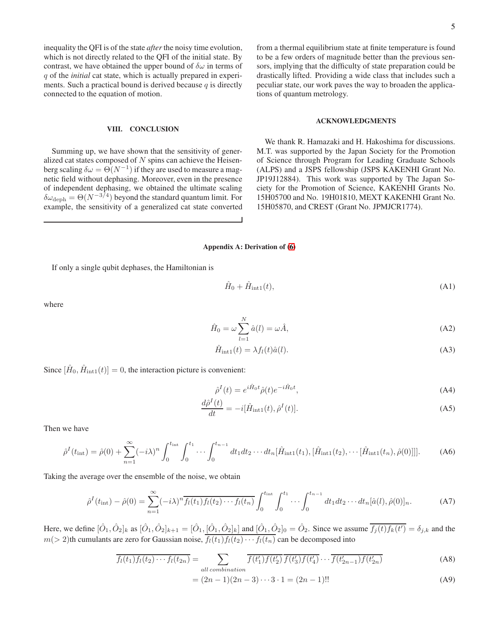inequality the QFI is of the state *after*the noisy time evolution, which is not directly related to the QFI of the initial state. By contrast, we have obtained the upper bound of  $\delta\omega$  in terms of q of the *initial* cat state, which is actually prepared in experiments. Such a practical bound is derived because  $q$  is directly connected to the equation of motion.

### VIII. CONCLUSION

Summing up, we have shown that the sensitivity of generalized cat states composed of  $N$  spins can achieve the Heisenberg scaling  $\delta \omega = \Theta(N^{-1})$  if they are used to measure a magnetic field without dephasing. Moreover, even in the presence of independent dephasing, we obtained the ultimate scaling  $\delta\omega_{\rm deph} = \Theta(N^{-3/4})$  beyond the standard quantum limit. For example, the sensitivity of a generalized cat state converted

from a thermal equilibrium state at finite temperature is found to be a few orders of magnitude better than the previous sensors, implying that the difficulty of state preparation could be drastically lifted. Providing a wide class that includes such a peculiar state, our work paves the way to broaden the applications of quantum metrology.

## ACKNOWLEDGMENTS

We thank R. Hamazaki and H. Hakoshima for discussions. M.T. was supported by the Japan Society for the Promotion of Science through Program for Leading Graduate Schools (ALPS) and a JSPS fellowship (JSPS KAKENHI Grant No. JP19J12884). This work was supported by The Japan Society for the Promotion of Science, KAKENHI Grants No. 15H05700 and No. 19H01810, MEXT KAKENHI Grant No. 15H05870, and CREST (Grant No. JPMJCR1774).

#### Appendix A: Derivation of [\(6\)](#page-2-1)

If only a single qubit dephases, the Hamiltonian is

$$
\hat{H}_0 + \hat{H}_{\text{int1}}(t),\tag{A1}
$$

where

$$
\hat{H}_0 = \omega \sum_{l=1}^{N} \hat{a}(l) = \omega \hat{A},\tag{A2}
$$

$$
\hat{H}_{\text{int1}}(t) = \lambda f_l(t)\hat{a}(l). \tag{A3}
$$

Since  $[\hat{H}_0, \hat{H}_{\text{int1}}(t)] = 0$ , the interaction picture is convenient:

$$
\hat{\rho}^I(t) = e^{i\hat{H}_0 t} \hat{\rho}(t) e^{-i\hat{H}_0 t},\tag{A4}
$$

$$
\frac{d\hat{\rho}^{I}(t)}{dt} = -i[\hat{H}_{\text{int1}}(t), \hat{\rho}^{I}(t)].
$$
\n(A5)

Then we have

$$
\hat{\rho}^{I}(t_{\rm int}) = \hat{\rho}(0) + \sum_{n=1}^{\infty} (-i\lambda)^{n} \int_{0}^{t_{\rm int}} \int_{0}^{t_{1}} \cdots \int_{0}^{t_{n-1}} dt_{1} dt_{2} \cdots dt_{n} [\hat{H}_{\rm int1}(t_{1}), [\hat{H}_{\rm int1}(t_{2}), \cdots [\hat{H}_{\rm int1}(t_{n}), \hat{\rho}(0)]]].
$$
 (A6)

Taking the average over the ensemble of the noise, we obtain

$$
\hat{\rho}^{I}(t_{\rm int}) - \hat{\rho}(0) = \sum_{n=1}^{\infty} (-i\lambda)^{n} \overline{f_{l}(t_{1}) f_{l}(t_{2}) \cdots f_{l}(t_{n})} \int_{0}^{t_{\rm int}} \int_{0}^{t_{1}} \cdots \int_{0}^{t_{n-1}} dt_{1} dt_{2} \cdots dt_{n} [\hat{a}(l), \hat{\rho}(0)]_{n}.
$$
 (A7)

Here, we define  $[\hat{O}_1, \hat{O}_2]_k$  as  $[\hat{O}_1, \hat{O}_2]_{k+1} = [\hat{O}_1, [\hat{O}_1, \hat{O}_2]_k]$  and  $[\hat{O}_1, \hat{O}_2]_0 = \hat{O}_2$ . Since we assume  $\overline{f_j(t)f_k(t')} = \delta_{j,k}$  and the  $m(> 2)$ th cumulants are zero for Gaussian noise,  $f_l(t_1)f_l(t_2)\cdots f_l(t_n)$  can be decomposed into

$$
\overline{f_l(t_1)f_l(t_2)\cdots f_l(t_{2n})} = \sum_{all\ combination} \overline{f(t'_1)f(t'_2)} \overline{f(t'_3)f(t'_4)} \cdots \overline{f(t'_{2n-1})f(t'_{2n})}
$$
(A8)

$$
= (2n - 1)(2n - 3) \cdots 3 \cdot 1 = (2n - 1)!!
$$
 (A9)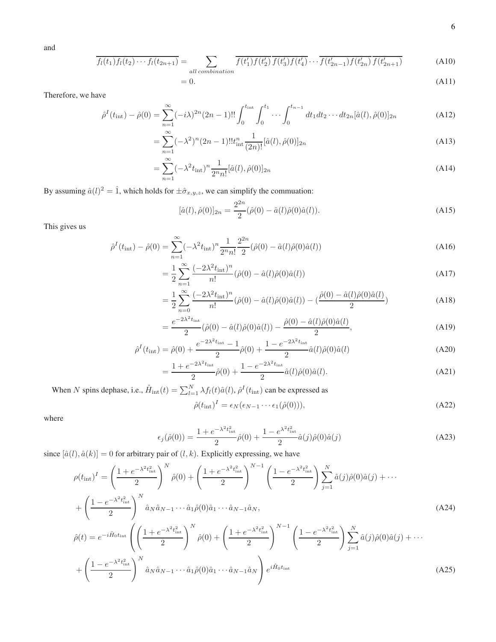and

$$
\overline{f_l(t_1)f_l(t_2)\cdots f_l(t_{2n+1})} = \sum_{all\ combination} \overline{f(t'_1)f(t'_2)} \overline{f(t'_3)f(t'_4)} \cdots \overline{f(t'_{2n-1})f(t'_{2n})} \overline{f(t'_{2n+1})}
$$
(A10)

$$
=0.\t\t(A11)
$$

Therefore, we have

$$
\hat{\rho}^{I}(t_{\rm int}) - \hat{\rho}(0) = \sum_{n=1}^{\infty} (-i\lambda)^{2n} (2n-1)!! \int_{0}^{t_{\rm int}} \int_{0}^{t_{1}} \cdots \int_{0}^{t_{n-1}} dt_{1} dt_{2} \cdots dt_{2n} [\hat{a}(l), \hat{\rho}(0)]_{2n}
$$
(A12)

$$
= \sum_{n=1}^{\infty} (-\lambda^2)^n (2n-1)!! t_{\text{int}}^n \frac{1}{(2n)!} [\hat{a}(l), \hat{\rho}(0)]_{2n}
$$
 (A13)

$$
= \sum_{n=1}^{\infty} (-\lambda^2 t_{\text{int}})^n \frac{1}{2^n n!} [\hat{a}(l), \hat{\rho}(0)]_{2n}
$$
\n(A14)

By assuming  $\hat{a}(l)^2 = \hat{1}$ , which holds for  $\pm \hat{\sigma}_{x,y,z}$ , we can simplify the commuation:

$$
[\hat{a}(l), \hat{\rho}(0)]_{2n} = \frac{2^{2n}}{2} (\hat{\rho}(0) - \hat{a}(l)\hat{\rho}(0)\hat{a}(l)).
$$
\n(A15)

This gives us

$$
\hat{\rho}^{I}(t_{\rm int}) - \hat{\rho}(0) = \sum_{n=1}^{\infty} (-\lambda^{2} t_{\rm int})^{n} \frac{1}{2^{n} n!} \frac{2^{2n}}{2} (\hat{\rho}(0) - \hat{a}(l)\hat{\rho}(0)\hat{a}(l))
$$
\n(A16)

$$
= \frac{1}{2} \sum_{n=1}^{\infty} \frac{(-2\lambda^2 t_{\text{int}})^n}{n!} (\hat{\rho}(0) - \hat{a}(l)\hat{\rho}(0)\hat{a}(l))
$$
(A17)

$$
= \frac{1}{2} \sum_{n=0}^{\infty} \frac{(-2\lambda^2 t_{\text{int}})^n}{n!} (\hat{\rho}(0) - \hat{a}(l)\hat{\rho}(0)\hat{a}(l)) - (\frac{\hat{\rho}(0) - \hat{a}(l)\hat{\rho}(0)\hat{a}(l)}{2})
$$
(A18)

$$
=\frac{e^{-2\lambda^2 t_{\rm int}}}{2}(\hat{\rho}(0) - \hat{a}(l)\hat{\rho}(0)\hat{a}(l)) - \frac{\hat{\rho}(0) - \hat{a}(l)\hat{\rho}(0)\hat{a}(l)}{2},\tag{A19}
$$

$$
\hat{\rho}^{I}(t_{\rm int}) = \hat{\rho}(0) + \frac{e^{-2\lambda^{2}t_{\rm int}} - 1}{2}\hat{\rho}(0) + \frac{1 - e^{-2\lambda^{2}t_{\rm int}}}{2}\hat{a}(l)\hat{\rho}(0)\hat{a}(l)
$$
\n(A20)

$$
=\frac{1+e^{-2\lambda^2 t_{\text{int}}}}{2}\hat{\rho}(0)+\frac{1-e^{-2\lambda^2 t_{\text{int}}}}{2}\hat{a}(l)\hat{\rho}(0)\hat{a}(l).
$$
 (A21)

When N spins dephase, i.e.,  $\hat{H}_{int}(t) = \sum_{l=1}^{N} \lambda f_l(t) \hat{a}(l)$ ,  $\hat{\rho}^I(t_{int})$  can be expressed as

$$
\hat{\rho}(t_{\rm int})^I = \epsilon_N(\epsilon_{N-1} \cdots \epsilon_1(\hat{\rho}(0))), \tag{A22}
$$

where

$$
\epsilon_j(\hat{\rho}(0)) = \frac{1 + e^{-\lambda^2 t_{\text{int}}^2}}{2} \hat{\rho}(0) + \frac{1 - e^{\lambda^2 t_{\text{int}}^2}}{2} \hat{a}(j)\hat{\rho}(0)\hat{a}(j) \tag{A23}
$$

since  $[\hat{a}(l),\hat{a}(k)]=0$  for arbitrary pair of  $(l,k).$  Explicitly expressing, we have

$$
\rho(t_{\rm int})^{I} = \left(\frac{1 + e^{-\lambda^{2}t_{\rm int}^{2}}}{2}\right)^{N} \hat{\rho}(0) + \left(\frac{1 + e^{-\lambda^{2}t_{\rm int}^{2}}}{2}\right)^{N-1} \left(\frac{1 - e^{-\lambda^{2}t_{\rm int}^{2}}}{2}\right) \sum_{j=1}^{N} \hat{a}(j)\hat{\rho}(0)\hat{a}(j) + \cdots
$$
\n
$$
+ \left(\frac{1 - e^{-\lambda^{2}t_{\rm int}^{2}}}{2}\right)^{N} \hat{a}_{N}\hat{a}_{N-1}\cdots\hat{a}_{1}\hat{\rho}(0)\hat{a}_{1}\cdots\hat{a}_{N-1}\hat{a}_{N},
$$
\n
$$
\hat{\rho}(t) = e^{-i\hat{H}_{0}t_{\rm int}} \left(\left(\frac{1 + e^{-\lambda^{2}t_{\rm int}^{2}}}{2}\right)^{N} \hat{\rho}(0) + \left(\frac{1 + e^{-\lambda^{2}t_{\rm int}^{2}}}{2}\right)^{N-1} \left(\frac{1 - e^{-\lambda^{2}t_{\rm int}^{2}}}{2}\right) \sum_{j=1}^{N} \hat{a}(j)\hat{\rho}(0)\hat{a}(j) + \cdots
$$
\n
$$
+ \left(\frac{1 - e^{-\lambda^{2}t_{\rm int}^{2}}}{2}\right)^{N} \hat{a}_{N}\hat{a}_{N-1}\cdots\hat{a}_{1}\hat{\rho}(0)\hat{a}_{1}\cdots\hat{a}_{N-1}\hat{a}_{N}\right) e^{i\hat{H}_{0}t_{\rm int}} \tag{A25}
$$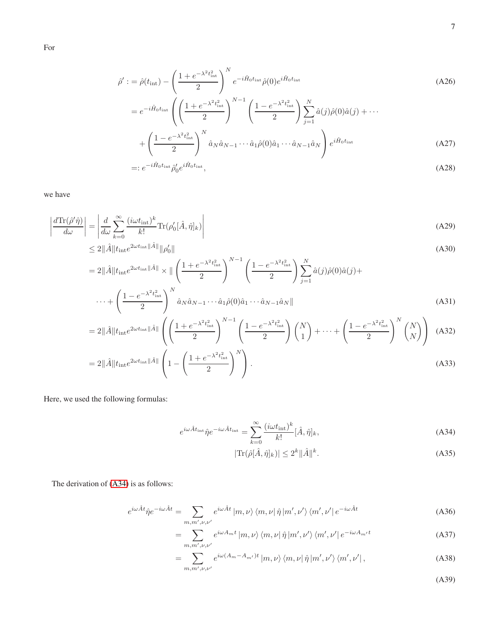For

$$
\hat{\rho}' := \hat{\rho}(t_{\rm int}) - \left(\frac{1 + e^{-\lambda^2 t_{\rm int}^2}}{2}\right)^N e^{-i\hat{H}_0 t_{\rm int}} \hat{\rho}(0) e^{i\hat{H}_0 t_{\rm int}} \n= e^{-i\hat{H}_0 t_{\rm int}} \left(\left(\frac{1 + e^{-\lambda^2 t_{\rm int}^2}}{2}\right)^{N-1} \left(\frac{1 - e^{-\lambda^2 t_{\rm int}^2}}{2}\right) \sum_{j=1}^N \hat{a}(j) \hat{\rho}(0) \hat{a}(j) + \cdots \n+ \left(\frac{1 - e^{-\lambda^2 t_{\rm int}^2}}{2}\right)^N \hat{a}_N \hat{a}_{N-1} \cdots \hat{a}_1 \hat{\rho}(0) \hat{a}_1 \cdots \hat{a}_{N-1} \hat{a}_N \right) e^{i\hat{H}_0 t_{\rm int}} \tag{A27}
$$

$$
=:e^{-i\hat{H}_0t_{\rm int}}\hat{\rho}_0'e^{i\hat{H}_0t_{\rm int}},\tag{A28}
$$

we have

$$
\left| \frac{d \text{Tr}(\hat{\rho}' \hat{\eta})}{d \omega} \right| = \left| \frac{d}{d \omega} \sum_{k=0}^{\infty} \frac{(i \omega t_{\text{int}})^k}{k!} \text{Tr}(\rho'_0[\hat{A}, \hat{\eta}]_k) \right| \tag{A29}
$$

$$
\leq 2\|\hat{A}\|t_{\rm int}e^{2\omega t_{\rm int}\|\hat{A}\|}\|\rho_0'\| \tag{A30}
$$

$$
= 2\|\hat{A}\|t_{\rm int}e^{2\omega t_{\rm int}\|\hat{A}\|} \times \|\left(\frac{1+e^{-\lambda^2 t_{\rm int}^2}}{2}\right)^{N-1} \left(\frac{1-e^{-\lambda^2 t_{\rm int}^2}}{2}\right) \sum_{j=1}^N \hat{a}(j)\hat{\rho}(0)\hat{a}(j) + \cdots + \left(\frac{1-e^{-\lambda^2 t_{\rm int}^2}}{2}\right)^N \hat{a}_N\hat{a}_{N-1}\cdots\hat{a}_1\hat{\rho}(0)\hat{a}_1\cdots\hat{a}_{N-1}\hat{a}_N\|
$$
\n(A31)

$$
=2\|\hat{A}\|t_{\rm int}e^{2\omega t_{\rm int}\|\hat{A}\|}\left(\left(\frac{1+e^{-\lambda^2t_{\rm int}^2}}{2}\right)^{N-1}\left(\frac{1-e^{-\lambda^2t_{\rm int}^2}}{2}\right)\binom{N}{1}+\cdots+\left(\frac{1-e^{-\lambda^2t_{\rm int}^2}}{2}\right)^N\binom{N}{N}\right) \tag{A32}
$$

$$
=2\|\hat{A}\|t_{\rm int}e^{2\omega t_{\rm int}\|\hat{A}\|}\left(1-\left(\frac{1+e^{-\lambda^2 t_{\rm int}^2}}{2}\right)^N\right). \tag{A33}
$$

Here, we used the following formulas:

$$
e^{i\omega \hat{A}t_{\rm int}}\hat{\eta}e^{-i\omega \hat{A}t_{\rm int}} = \sum_{k=0}^{\infty} \frac{(i\omega t_{\rm int})^k}{k!} [\hat{A}, \hat{\eta}]_k,
$$
\n(A34)

$$
|\text{Tr}(\hat{\rho}[\hat{A},\hat{\eta}]_k)| \le 2^k \|\hat{A}\|^k. \tag{A35}
$$

The derivation of [\(A34\)](#page-6-0) is as follows:

$$
e^{i\omega \hat{A}t} \hat{\eta} e^{-i\omega \hat{A}t} = \sum_{m,m',\nu,\nu'} e^{i\omega \hat{A}t} |m,\nu\rangle \langle m,\nu| \hat{\eta} |m',\nu'\rangle \langle m',\nu'| e^{-i\omega \hat{A}t}
$$
 (A36)

$$
= \sum_{m,m',\nu,\nu'} e^{i\omega A_m t} |m,\nu\rangle \langle m,\nu| \hat{\eta} |m',\nu'\rangle \langle m',\nu'| e^{-i\omega A_{m'} t}
$$
(A37)

$$
= \sum_{m,m',\nu,\nu'} e^{i\omega(A_m - A_{m'})t} |m,\nu\rangle \langle m,\nu| \hat{\eta} |m',\nu'\rangle \langle m',\nu'|,
$$
 (A38)

<span id="page-6-0"></span>(A39)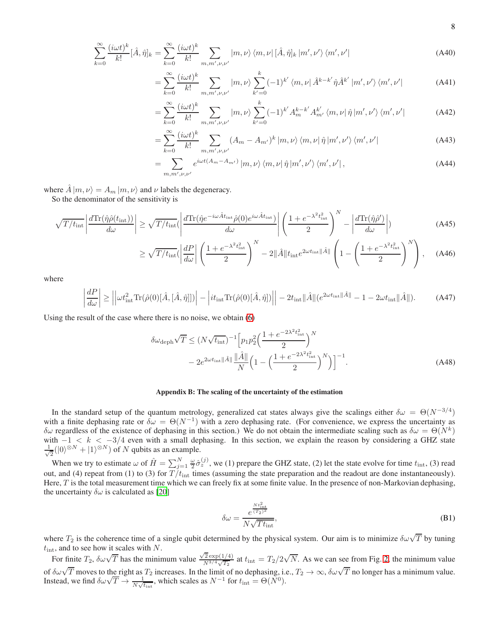$$
\sum_{k=0}^{\infty} \frac{(i\omega t)^k}{k!} [\hat{A}, \hat{\eta}]_k = \sum_{k=0}^{\infty} \frac{(i\omega t)^k}{k!} \sum_{m,m',\nu,\nu'} |m,\nu\rangle \langle m,\nu| [\hat{A}, \hat{\eta}]_k |m',\nu'\rangle \langle m',\nu'|
$$
(A40)

$$
= \sum_{k=0}^{\infty} \frac{(i\omega t)^k}{k!} \sum_{m,m',\nu,\nu'} |m,\nu\rangle \sum_{k'=0}^k (-1)^{k'} \langle m,\nu | \hat{A}^{k-k'} \hat{\eta} \hat{A}^{k'} |m',\nu'\rangle \langle m',\nu'| \qquad (A41)
$$

$$
= \sum_{k=0}^{\infty} \frac{(i\omega t)^k}{k!} \sum_{m,m',\nu,\nu'} |m,\nu\rangle \sum_{k'=0}^k (-1)^{k'} A_m^{k-k'} A_{m'}^{k'} \langle m,\nu | \hat{\eta} | m',\nu'\rangle \langle m',\nu'| \tag{A42}
$$

$$
= \sum_{k=0}^{\infty} \frac{(i\omega t)^k}{k!} \sum_{m,m',\nu,\nu'} (A_m - A_{m'})^k |m,\nu\rangle \langle m,\nu| \hat{\eta} |m',\nu'\rangle \langle m',\nu'| \tag{A43}
$$

$$
=\sum_{m,m',\nu,\nu'}e^{i\omega t(A_m-A_{m'})}\left|m,\nu\right\rangle\left\langle m,\nu\right|\hat{\eta}\left|m',\nu'\right\rangle\left\langle m',\nu'\right|,\tag{A44}
$$

where  $\hat{A} |m, \nu\rangle = A_m |m, \nu\rangle$  and  $\nu$  labels the degeneracy.

So the denominator of the sensitivity is

$$
\sqrt{T/t_{\rm int}} \left| \frac{d \text{Tr}(\hat{\eta} \hat{\rho}(t_{\rm int}))}{d\omega} \right| \ge \sqrt{T/t_{\rm int}} (\left| \frac{d \text{Tr}(\hat{\eta} e^{-i\omega \hat{A}t_{\rm int}} \hat{\rho}(0) e^{i\omega \hat{A}t_{\rm int}})}{d\omega} \right| \left( \frac{1 + e^{-\lambda^2 t_{\rm int}^2}}{2} \right)^N - \left| \frac{d \text{Tr}(\hat{\eta} \hat{\rho}')}{d\omega} \right|)
$$
(A45)

$$
\geq \sqrt{T/t_{\rm int}} \left( \left| \frac{dP}{d\omega} \right| \left( \frac{1 + e^{-\lambda^2 t_{\rm int}^2}}{2} \right)^N - 2 \|\hat{A}\| t_{\rm int} e^{2\omega t_{\rm int} \|\hat{A}\|} \left( 1 - \left( \frac{1 + e^{-\lambda^2 t_{\rm int}^2}}{2} \right)^N \right), \quad (A46)
$$

where

$$
\left| \frac{dP}{d\omega} \right| \ge \left| \left| \omega t_{\text{int}}^2 \text{Tr}(\hat{\rho}(0)[\hat{A}, [\hat{A}, \hat{\eta}]]) \right| - \left| i t_{\text{int}} \text{Tr}(\hat{\rho}(0)[\hat{A}, \hat{\eta}]) \right| \right| - 2t_{\text{int}} \|\hat{A}\| (e^{2\omega t_{\text{int}} \|\hat{A}\|} - 1 - 2\omega t_{\text{int}} \|\hat{A}\|). \tag{A47}
$$

Using the result of the case where there is no noise, we obtain [\(6\)](#page-2-1)

$$
\delta\omega_{\text{deph}}\sqrt{T} \le (N\sqrt{t_{\text{int}}})^{-1} \left[ p_1 p_2^2 \left( \frac{1 + e^{-2\lambda^2 t_{\text{int}}^2}}{2} \right)^N - 2e^{2\omega t_{\text{int}} \|\hat{A}\|} \frac{\|\hat{A}\|}{N} \left( 1 - \left( \frac{1 + e^{-2\lambda^2 t_{\text{int}}^2}}{2} \right)^N \right) \right]^{-1}.
$$
\n(A48)

## Appendix B: The scaling of the uncertainty of the estimation

In the standard setup of the quantum metrology, generalized cat states always give the scalings either  $\delta\omega = \Theta(N^{-3/4})$ with a finite dephasing rate or  $\delta\omega = \Theta(N^{-1})$  with a zero dephasing rate. (For convenience, we express the uncertainty as δω regardless of the existence of dephasing in this section.) We do not obtain the intermediate scaling such as  $δω = Θ(N<sup>k</sup>)$ with  $-1 < k < -3/4$  even with a small dephasing. In this section, we explain the reason by considering a GHZ state √ 1  $\frac{1}{2}(|0\rangle^{\otimes N} + |1\rangle^{\otimes N})$  of N qubits as an example.

When we try to estimate  $\omega$  of  $\hat{H} = \sum_{j=1}^{N} \frac{\omega}{2} \hat{\sigma}_z^{(j)}$ , we (1) prepare the GHZ state, (2) let the state evolve for time  $t_{\text{int}}$ , (3) read out, and (4) repeat from (1) to (3) for  $T/t_{\text{int}}$  times (assuming the state preparation and the readout are done instantaneously). Here, T is the total measurement time which we can freely fix at some finite value. In the presence of non-Markovian dephasing, the uncertainty  $\delta \omega$  is calculated as [\[20\]](#page-9-8)

$$
\delta\omega = \frac{e^{\frac{N t_{\text{int}}^2}{(T_2)^2}}}{N\sqrt{T t_{\text{int}}}},\tag{B1}
$$

where  $T_2$  is the coherence time of a single qubit determined by the physical system. Our aim is to minimize  $\delta\omega\sqrt{T}$  by tuning  $t_{\text{int}}$ , and to see how it scales with N.

For finite  $T_2$ ,  $\delta \omega \sqrt{T}$  has the minimum value  $\frac{\sqrt{2} \exp(1/4)}{N^{3/4} \sqrt{T_0}}$  $\frac{\sqrt{2} \exp(1/4)}{N^{3/4} \sqrt{T_2}}$  at  $t_{\text{int}} = T_2/2\sqrt{N}$ . As we can see from Fig. [2,](#page-8-0) the minimum value of  $\delta\omega\sqrt{T}$  moves to the right as  $T_2$  increases. In the limit of no dephasing, i.e.,  $T_2 \to \infty$ ,  $\delta\omega\sqrt{T}$  no longer has a minimum value.<br>Instead, we find  $\delta\omega\sqrt{T} \to \frac{1}{N\sqrt{t_{\text{int}}}}$ , which scales as  $N^{-1}$  for  $t_{$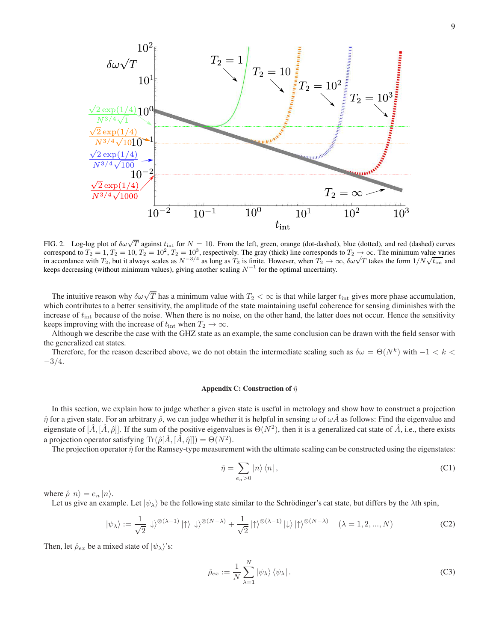

<span id="page-8-0"></span>FIG. 2. Log-log plot of  $\delta\omega\sqrt{T}$  against  $t_{\text{int}}$  for  $N = 10$ . From the left, green, orange (dot-dashed), blue (dotted), and red (dashed) curves correspond to  $T_2 = 1$ ,  $T_2 = 10$ ,  $T_2 = 10^2$ ,  $T_2 = 10^3$ , respectively. The gray (thick) line corresponds to  $T_2 \rightarrow \infty$ . The minimum value varies<br>in accordance with  $T_2$ , but it always scales as  $N^{-3/4}$  as long as  $T$ keeps decreasing (without minimum values), giving another scaling  $N^{-1}$  for the optimal uncertainty.

The intuitive reason why  $\delta\omega\sqrt{T}$  has a minimum value with  $T_2 < \infty$  is that while larger  $t_{\text{int}}$  gives more phase accumulation, which contributes to a better sensitivity, the amplitude of the state maintaining useful coherence for sensing diminishes with the increase of  $t_{\text{int}}$  because of the noise. When there is no noise, on the other hand, the latter does not occur. Hence the sensitivity keeps improving with the increase of  $t_{\text{int}}$  when  $T_2 \to \infty$ .

Although we describe the case with the GHZ state as an example, the same conclusion can be drawn with the field sensor with the generalized cat states.

Therefore, for the reason described above, we do not obtain the intermediate scaling such as  $\delta \omega = \Theta(N^k)$  with  $-1 < k <$ −3/4.

#### Appendix C: Construction of  $\hat{\eta}$

In this section, we explain how to judge whether a given state is useful in metrology and show how to construct a projection  $\hat{\eta}$  for a given state. For an arbitrary  $\hat{\rho}$ , we can judge whether it is helpful in sensing  $\omega$  of  $\omega \hat{A}$  as follows: Find the eigenvalue and eigenstate of  $[\hat{A}, [\hat{A}, \hat{\rho}]]$ . If the sum of the positive eigenvalues is  $\Theta(N^2)$ , then it is a generalized cat state of  $\hat{A}$ , i.e., there exists a projection operator satisfying  $\text{Tr}(\hat{\rho}[\hat{A},[\hat{A},\hat{\eta}]]) = \Theta(N^2)$ .

The projection operator  $\hat{\eta}$  for the Ramsey-type measurement with the ultimate scaling can be constructed using the eigenstates:

$$
\hat{\eta} = \sum_{e_n > 0} |n\rangle \langle n| \,,\tag{C1}
$$

where  $\hat{\rho}|n\rangle = e_n |n\rangle$ .

Let us give an example. Let  $|\psi_{\lambda}\rangle$  be the following state similar to the Schrödinger's cat state, but differs by the  $\lambda$ th spin,

$$
|\psi_{\lambda}\rangle := \frac{1}{\sqrt{2}} \left| \downarrow \right>^{\otimes (\lambda - 1)} |\uparrow\rangle |\downarrow\rangle^{\otimes (N - \lambda)} + \frac{1}{\sqrt{2}} |\uparrow\rangle^{\otimes (\lambda - 1)} |\downarrow\rangle |\uparrow\rangle^{\otimes (N - \lambda)} \quad (\lambda = 1, 2, ..., N)
$$
 (C2)

Then, let  $\hat{\rho}_{ex}$  be a mixed state of  $|\psi_{\lambda}\rangle$ 's:

$$
\hat{\rho}_{ex} := \frac{1}{N} \sum_{\lambda=1}^{N} |\psi_{\lambda}\rangle \langle \psi_{\lambda}|.
$$
 (C3)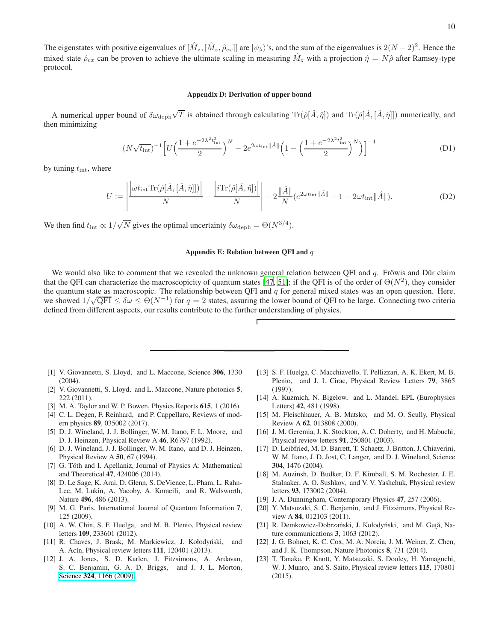#### <span id="page-9-13"></span>Appendix D: Derivation of upper bound

A numerical upper bound of  $\delta\omega_{\rm deph}\sqrt{T}$  is obtained through calculating  $\text{Tr}(\hat{\rho}[\hat{A},\hat{\eta}])$  and  $\text{Tr}(\hat{\rho}[\hat{A},[\hat{A},\hat{\eta}]])$  numerically, and then minimizing

$$
(N\sqrt{t_{\rm int}})^{-1} \left[ U\left(\frac{1 + e^{-2\lambda^2 t_{\rm int}^2}}{2}\right)^N - 2e^{2\omega t_{\rm int} \|\hat{A}\|} \left(1 - \left(\frac{1 + e^{-2\lambda^2 t_{\rm int}^2}}{2}\right)^N\right) \right]^{-1}
$$
 (D1)

by tuning  $t_{\text{int}}$ , where

$$
U := \left| \frac{\left| \omega t_{\rm int} \text{Tr}(\hat{\rho}[\hat{A}, [\hat{A}, \hat{\eta}]]) \right|}{N} - \frac{\left| i \text{Tr}(\hat{\rho}[\hat{A}, \hat{\eta}]) \right|}{N} \right| - 2 \frac{\left\| \hat{A} \right\|}{N} \left( e^{2\omega t_{\rm int} \|\hat{A}\|} - 1 - 2\omega t_{\rm int} \|\hat{A} \| \right). \tag{D2}
$$

We then find  $t_{\text{int}} \propto 1/\sqrt{N}$  gives the optimal uncertainty  $\delta \omega_{\text{deph}} = \Theta(N^{3/4})$ .

### Appendix E: Relation between QFI and  $q$

We would also like to comment that we revealed the unknown general relation between QFI and  $q$ . Frowis and Dur claim that the QFI can characterize the macroscopicity of quantum states [\[47,](#page-10-12) [51](#page-10-15)]; if the QFI is of the order of  $\Theta(N^2)$ , they consider the quantum state as macroscopic. The relationship between QFI and  $q$  for general mixed states was an open question. Here, we showed  $1/\sqrt{\text{QFI}} \le \delta \omega \le \Theta(N^{-1})$  for  $q = 2$  states, assuring the lower bound of QFI to be large. Connecting two criteria defined from different aspects, our results contribute to the further understanding of physics.

- <span id="page-9-0"></span>[1] V. Giovannetti, S. Lloyd, and L. Maccone, Science 306, 1330  $(2004)$ .
- <span id="page-9-10"></span>[2] V. Giovannetti, S. Lloyd, and L. Maccone, Nature photonics 5, 222 (2011).
- [3] M. A. Taylor and W. P. Bowen, Physics Reports 615, 1 (2016).
- <span id="page-9-1"></span>[4] C. L. Degen, F. Reinhard, and P. Cappellaro, Reviews of modern physics 89, 035002 (2017).
- <span id="page-9-2"></span>[5] D. J. Wineland, J. J. Bollinger, W. M. Itano, F. L. Moore, and D. J. Heinzen, Physical Review A 46, R6797 (1992).
- [6] D. J. Wineland, J. J. Bollinger, W. M. Itano, and D. J. Heinzen, Physical Review A 50, 67 (1994).
- <span id="page-9-3"></span>[7] G. Tóth and I. Apellaniz, Journal of Physics A: Mathematical and Theoretical 47, 424006 (2014).
- <span id="page-9-4"></span>[8] D. Le Sage, K. Arai, D. Glenn, S. DeVience, L. Pham, L. Rahn-Lee, M. Lukin, A. Yacoby, A. Komeili, and R. Walsworth, Nature 496, 486 (2013).
- <span id="page-9-5"></span>[9] M. G. Paris, International Journal of Quantum Information 7, 125 (2009).
- <span id="page-9-6"></span>[10] A. W. Chin, S. F. Huelga, and M. B. Plenio, Physical review letters 109, 233601 (2012).
- [11] R. Chaves, J. Brask, M. Markiewicz, J. Kołodyński, and A. Acín, Physical review letters 111, 120401 (2013).
- <span id="page-9-7"></span>[12] J. A. Jones, S. D. Karlen, J. Fitzsimons, A. Ardavan, S. C. Benjamin, G. A. D. Briggs, and J. J. L. Morton, Science 324[, 1166 \(2009\).](http://dx.doi.org/ 10.1126/science.1170730)
- <span id="page-9-11"></span>[13] S. F. Huelga, C. Macchiavello, T. Pellizzari, A. K. Ekert, M. B. Plenio, and J. I. Cirac, Physical Review Letters 79, 3865 (1997).
- [14] A. Kuzmich, N. Bigelow, and L. Mandel, EPL (Europhysics Letters) 42, 481 (1998).
- [15] M. Fleischhauer, A. B. Matsko, and M. O. Scully, Physical Review A 62, 013808 (2000).
- [16] J. M. Geremia, J. K. Stockton, A. C. Doherty, and H. Mabuchi, Physical review letters 91, 250801 (2003).
- [17] D. Leibfried, M. D. Barrett, T. Schaetz, J. Britton, J. Chiaverini, W. M. Itano, J. D. Jost, C. Langer, and D. J. Wineland, Science 304, 1476 (2004).
- [18] M. Auzinsh, D. Budker, D. F. Kimball, S. M. Rochester, J. E. Stalnaker, A. O. Sushkov, and V. V. Yashchuk, Physical review letters 93, 173002 (2004).
- [19] J. A. Dunningham, Contemporary Physics 47, 257 (2006).
- <span id="page-9-8"></span>[20] Y. Matsuzaki, S. C. Benjamin, and J. Fitzsimons, Physical Review A **84**, 012103 (2011).
- <span id="page-9-12"></span>[21] R. Demkowicz-Dobrzański, J. Kołodyński, and M. Guță, Nature communications 3, 1063 (2012).
- [22] J. G. Bohnet, K. C. Cox, M. A. Norcia, J. M. Weiner, Z. Chen, and J. K. Thompson, Nature Photonics 8, 731 (2014).
- <span id="page-9-9"></span>[23] T. Tanaka, P. Knott, Y. Matsuzaki, S. Dooley, H. Yamaguchi, W. J. Munro, and S. Saito, Physical review letters 115, 170801 (2015).